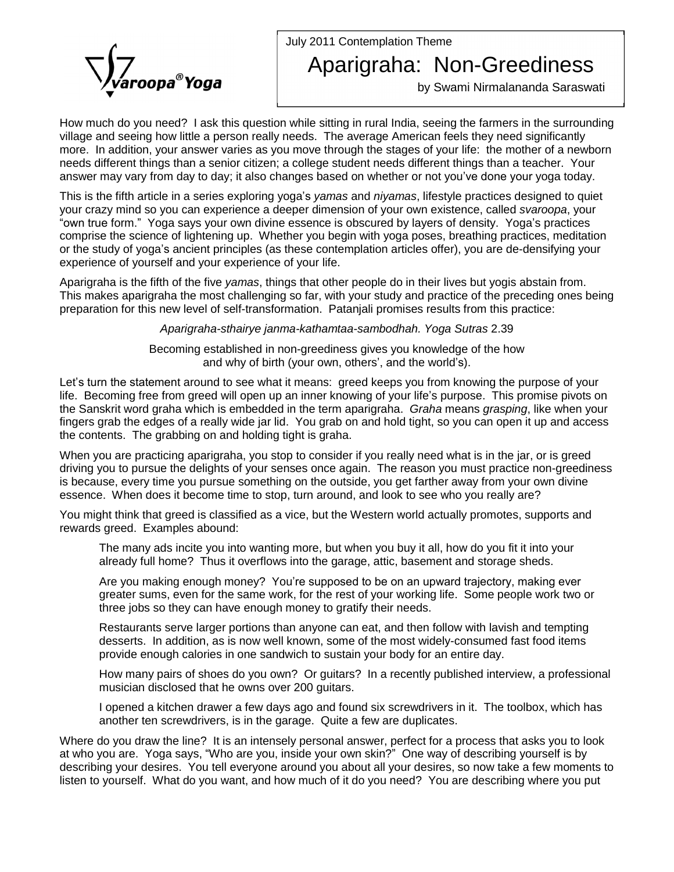July 2011 Contemplation Theme



## Aparigraha: Non-Greediness

by Swami Nirmalananda Saraswati

How much do you need? I ask this question while sitting in rural India, seeing the farmers in the surrounding village and seeing how little a person really needs. The average American feels they need significantly more. In addition, your answer varies as you move through the stages of your life: the mother of a newborn needs different things than a senior citizen; a college student needs different things than a teacher. Your answer may vary from day to day; it also changes based on whether or not you've done your yoga today.

needs different things than a senior citizen; a college student needs different things than a teacher. Your<br>answer may vary from day to day; it also changes based on whether or not you've done your yoga today.<br>This is the your crazy mind so you can experience a deeper dimension of your own existence, called svaroopa, your comprise the science of lightening up. Whether you begin with yoga poses, breathing practices, meditation "own true form." Yoga says your own divine essence is obscured by layers of density. Yoga's practices<br>comprise the science of lightening up. Whether you begin with yoga poses, breathing practices, meditation<br>or the study o experience of yourself and your experience of your life.

Aparigraha is the fifth of the five yamas, things that other people do in their lives but yogis abstain from. This makes aparigraha the most challenging so far, with your study and practice of the preceding ones being preparation for this new level of self-transformation. Patanjali promises results from this practice:

Aparigraha-sthairye janma-kathamtaa-sambodhah. Yoga Sutras 2.39

Becoming established in non-greediness gives you knowledge of the how *ha-sthairye janma-kathamtaa-sambodhah. Yoga Sutras 2*<br>established in non-greediness gives you knowledge of th<br>and why of birth (your own, others', and the world's).

and why of birth (your own, others', and the world's).<br>Let's turn the statement around to see what it means: greed keeps you from knowing the purpose of your life. Becoming free from greed will open up an inner knowing of your life's purpose. This promise pivots on the Sanskrit word graha which is embedded in the term aparigraha. Graha means grasping, like when your fingers grab the edges of a really wide jar lid. You grab on and hold tight, so you can open it up and access the contents. The grabbing on and holding tight is graha.

When you are practicing aparigraha, you stop to consider if you really need what is in the jar, or is greed driving you to pursue the delights of your senses once again. The reason you must practice non-greediness is because, every time you pursue something on the outside, you get farther away from your own divine essence. When does it become time to stop, turn around, and look to see who you really are?

You might think that greed is classified as a vice, but the Western world actually promotes, supports and rewards greed. Examples abound:

The many ads incite you into wanting more, but when you buy it all, how do you fit it into your already full home? Thus it overflows into the garage, attic, basement and storage sheds.

Are you making enough money? Youíre supposed to be on an upward trajectory, making ever greater sums, even for the same work, for the rest of your working life. Some people work two or three jobs so they can have enough money to gratify their needs.

Restaurants serve larger portions than anyone can eat, and then follow with lavish and tempting desserts. In addition, as is now well known, some of the most widely-consumed fast food items provide enough calories in one sandwich to sustain your body for an entire day.

How many pairs of shoes do you own? Orguitars? In a recently published interview, a professional musician disclosed that he owns over 200 guitars.

I opened a kitchen drawer a few days ago and found six screwdrivers in it. The toolbox, which has another ten screwdrivers, is in the garage. Quite a few are duplicates.

Where do you draw the line? It is an intensely personal answer, perfect for a process that asks you to look another ten screwdrivers, is in the garage. Quite a few are duplicates.<br>Where do you draw the line? It is an intensely personal answer, perfect for a process that asks you to look<br>at who you are. Yoga says, "Who are you describing your desires. You tell everyone around you about all your desires, so now take a few moments to listen to yourself. What do you want, and how much of it do you need? You are describing where you put